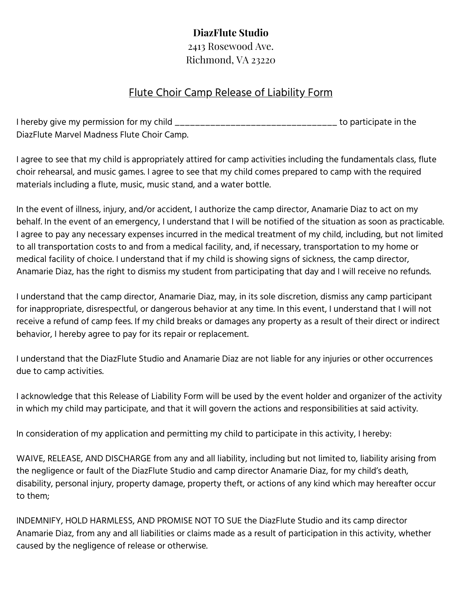## **DiazFlute Studio**

2413 Rosewood Ave. Richmond, VA 23220

## Flute Choir Camp Release of Liability Form

I hereby give my permission for my child \_\_\_\_\_\_\_\_\_\_\_\_\_\_\_\_\_\_\_\_\_\_\_\_\_\_\_\_\_\_\_\_ to participate in the DiazFlute Marvel Madness Flute Choir Camp.

I agree to see that my child is appropriately attired for camp activities including the fundamentals class, flute choir rehearsal, and music games. I agree to see that my child comes prepared to camp with the required materials including a flute, music, music stand, and a water bottle.

In the event of illness, injury, and/or accident, I authorize the camp director, Anamarie Diaz to act on my behalf. In the event of an emergency, I understand that I will be notified of the situation as soon as practicable. I agree to pay any necessary expenses incurred in the medical treatment of my child, including, but not limited to all transportation costs to and from a medical facility, and, if necessary, transportation to my home or medical facility of choice. I understand that if my child is showing signs of sickness, the camp director, Anamarie Diaz, has the right to dismiss my student from participating that day and I will receive no refunds.

I understand that the camp director, Anamarie Diaz, may, in its sole discretion, dismiss any camp participant for inappropriate, disrespectful, or dangerous behavior at any time. In this event, I understand that I will not receive a refund of camp fees. If my child breaks or damages any property as a result of their direct or indirect behavior, I hereby agree to pay for its repair or replacement.

I understand that the DiazFlute Studio and Anamarie Diaz are not liable for any injuries or other occurrences due to camp activities.

I acknowledge that this Release of Liability Form will be used by the event holder and organizer of the activity in which my child may participate, and that it will govern the actions and responsibilities at said activity.

In consideration of my application and permitting my child to participate in this activity, I hereby:

WAIVE, RELEASE, AND DISCHARGE from any and all liability, including but not limited to, liability arising from the negligence or fault of the DiazFlute Studio and camp director Anamarie Diaz, for my child's death, disability, personal injury, property damage, property theft, or actions of any kind which may hereafter occur to them;

INDEMNIFY, HOLD HARMLESS, AND PROMISE NOT TO SUE the DiazFlute Studio and its camp director Anamarie Diaz, from any and all liabilities or claims made as a result of participation in this activity, whether caused by the negligence of release or otherwise.